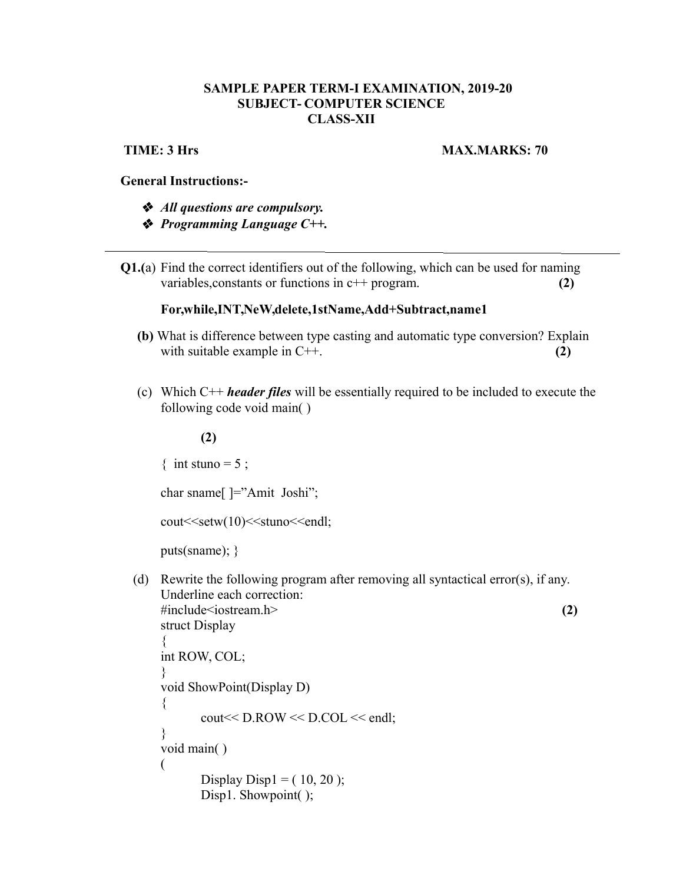# **SAMPLE PAPER TERM-I EXAMINATION, 2019-20 SUBJECT- COMPUTER SCIENCE CLASS-XII**

# **TIME: 3 Hrs MAX.MARKS: 70**

# **General Instructions:-**

- *All questions are compulsory.*
- *Programming Language C++.*
- **Q1.(**a) Find the correct identifiers out of the following, which can be used for naming variables, constants or functions in c<sup>++</sup> program. **(2)**

### **For,while,INT,NeW,delete,1stName,Add+Subtract,name1**

- **(b)** What is difference between type casting and automatic type conversion? Explain with suitable example in C++. **(2) (2)**
- (c) Which C++ *header files* will be essentially required to be included to execute the following code void main( )

#### **(2)**

{ int stuno =  $5$ ;

char sname[ ]="Amit Joshi";

```
cout<<setw(10)<<stuno<<endl;
```
puts(sname); }

(d) Rewrite the following program after removing all syntactical error(s), if any. Underline each correction: #include<iostream.h> **(2)**

```
struct Display
{
int ROW, COL;
}
void ShowPoint(Display D)
{
       cout<< D.ROW << D.COL << endl;
}
void main( )
(
       Display Disp1 = (10, 20);
       Disp1. Showpoint();
```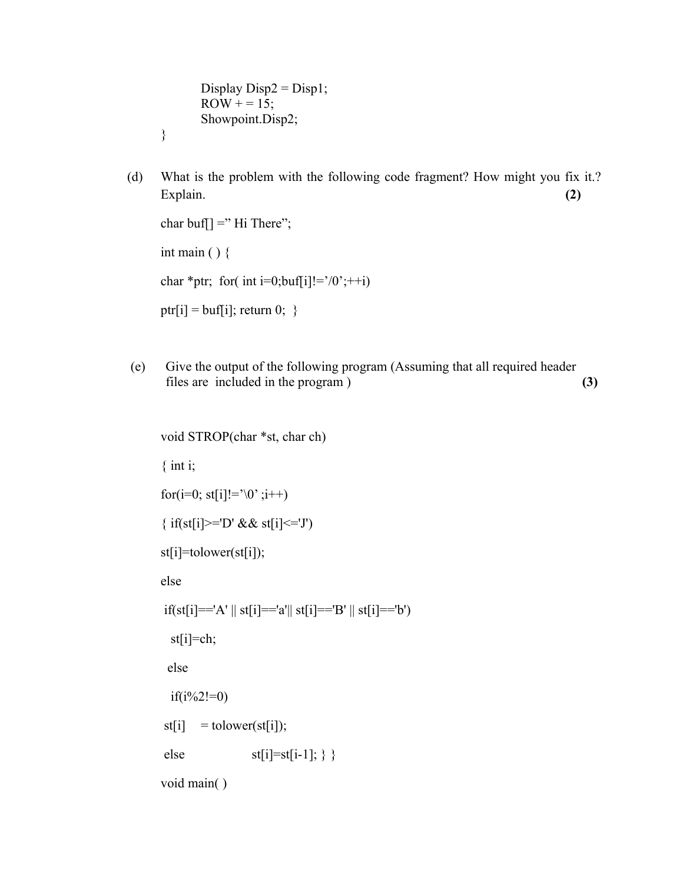Display  $Disp2 = Disp1;$  $ROW += 15;$ Showpoint.Disp2;

}

 (d) What is the problem with the following code fragment? How might you fix it.? Explain. **(2)** Solution 2.1 (2) Solution 2.1 (2) Solution 2.1 (2) Solution 2.1 (2) Solution 2.1 (2) Solution 2.1 (2)

```
char buf[] =" Hi There";
int main ( ) \{char *ptr; for( int i=0;buf[i]!='/0';++i)
ptr[i] = buf[i]; return 0; \}
```
 (e) Give the output of the following program (Assuming that all required header files are included in the program ) **(3)**

```
void STROP(char *st, char ch)
\{ int i;
for(i=0; st[i]!='\0' ;i++)
{ if(st[i]>='D' && st[i]<='J')
st[i]=tolower(st[i]);
else
if(st[i]=='A' \mid st[i]=='a' \mid st[i]=='B' \mid st[i]=='b') st[i]=ch;
  else
  if(i\%2!=0)st[i] = to lower(st[i]);
else st[i]=st[i-1];
```
void main( )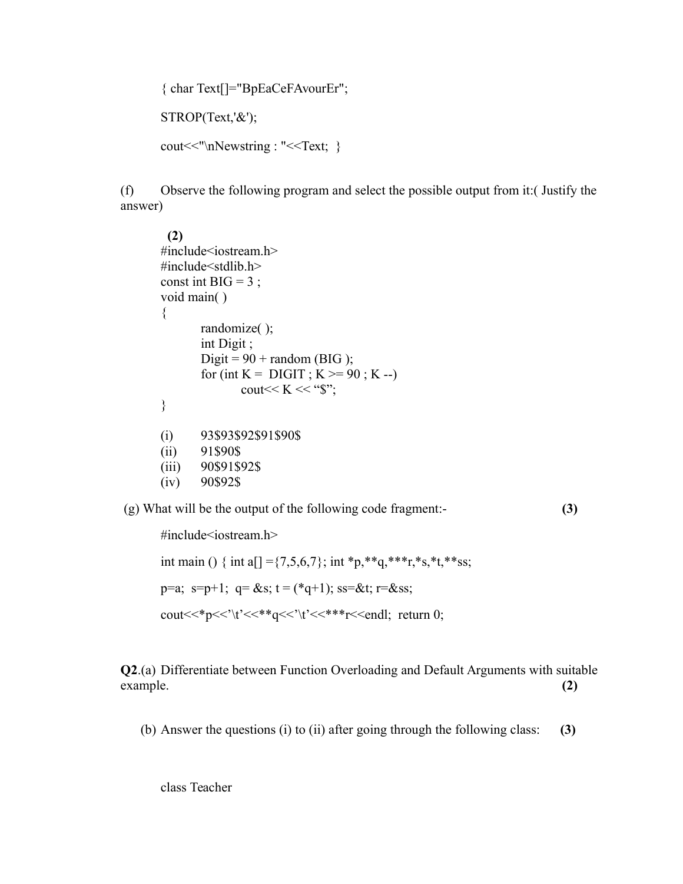{ char Text[]="BpEaCeFAvourEr";

STROP(Text,'&');

```
cout << "\n Newstring : " << Text; }
```
(f) Observe the following program and select the possible output from it:( Justify the answer)

```
 (2)
#include<iostream.h>
\#include\lestdlib.h>const int BIG = 3;
void main( )
{
       randomize( );
       int Digit ;
       Digit = 90 + \text{random (BIG)};
       for (int K = DIGIT ; K >= 90 ; K --)
              cout << K << "\$";
}
(i) 93$93$92$91$90$
(ii) 91$90$
(iii) 90$91$92$
(iv) 90$92$
```
(g) What will be the output of the following code fragment:- **(3)**

```
#include<iostream.h>
int main () { int a[] ={7,5,6,7}; int *p,**q,***r,*s,*t,**ss;
p=a; s=p+1; q = \&s; t = (*q+1); ss=\&t; r=\&ss;
cout <<* p << '\t' <<** q << '\t' <<*** r << endl; return 0;
```
**Q2**.(a) Differentiate between Function Overloading and Default Arguments with suitable example. **(2)**

(b) Answer the questions (i) to (ii) after going through the following class: **(3)**

class Teacher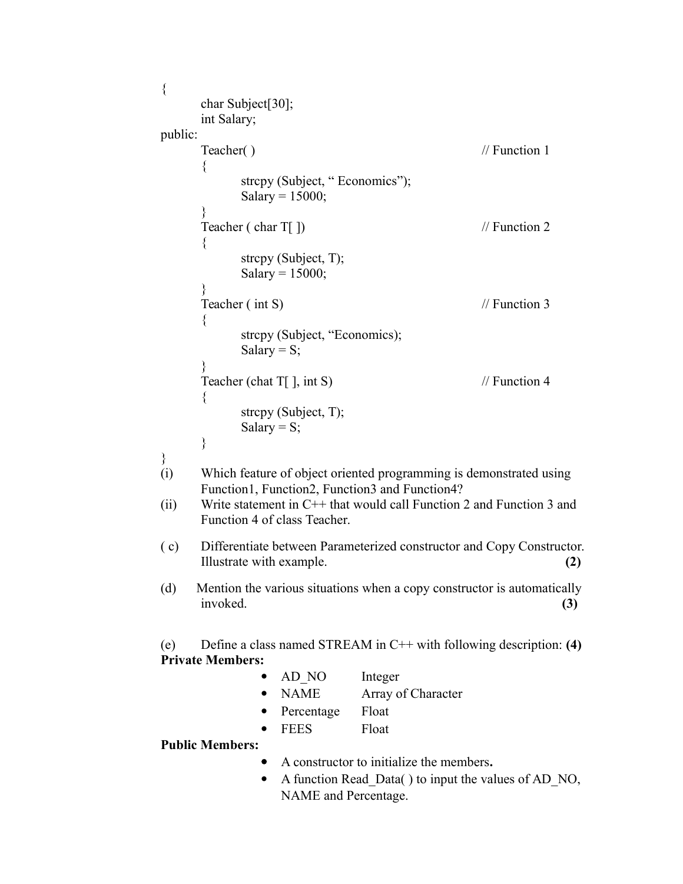```
\{char Subject[30];
      int Salary;
public:
      Teacher( ) \frac{1}{2} // Function 1
      {
            strcpy (Subject, "Economics");
            Salary = 15000;
      }
      Teacher ( char T[ ]) // Function 2
      {
            strcpy (Subject, T);
            Salary = 15000;
      }
      Teacher (int S) // Function 3
      \left\{ \right.strcpy (Subject, "Economics);
            Salary = S;
      }
      Teacher (chat T[ ], int S) // Function 4
      {
            strcpy (Subject, T);
            Salary = S;
      }
}
(i) Which feature of object oriented programming is demonstrated using 
      Function1, Function2, Function3 and Function4?
(ii) Write statement in C++ that would call Function 2 and Function 3 and 
      Function 4 of class Teacher.
( c) Differentiate between Parameterized constructor and Copy Constructor. 
      Illustrate with example. (2)
(d) Mention the various situations when a copy constructor is automatically 
     invoked. (3)
(e) Define a class named STREAM in C++ with following description: (4)
Private Members:
               • AD NO Integer
               • NAME Array of Character
                  Percentage Float
                 FEES Float
Public Members:
                  A constructor to initialize the members.
               • A function Read Data() to input the values of AD NO,
                 NAME and Percentage.
```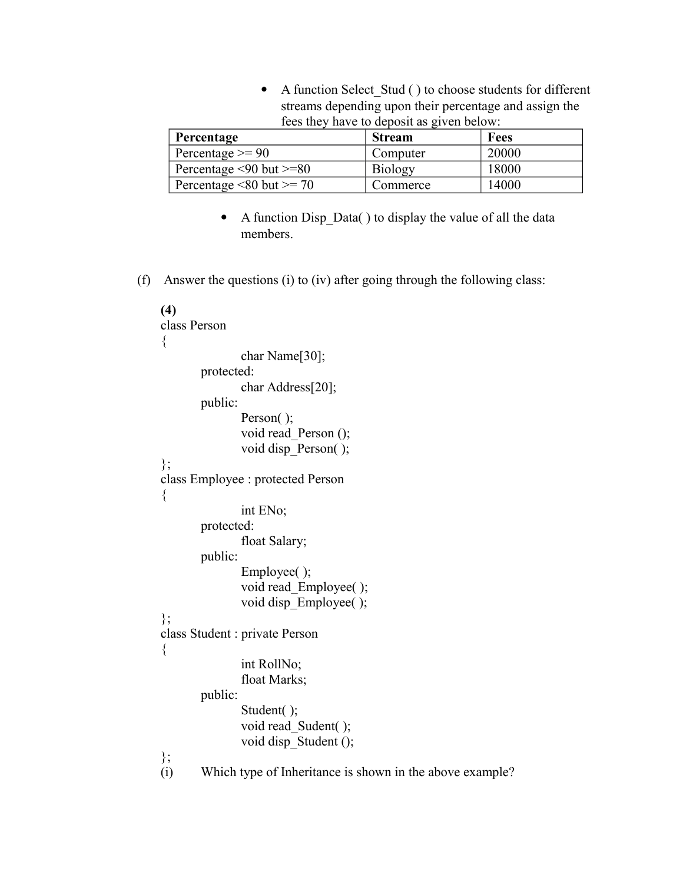A function Select\_Stud ( ) to choose students for different streams depending upon their percentage and assign the fees they have to deposit as given below:

| Percentage                         | <b>Stream</b>  | Fees  |
|------------------------------------|----------------|-------|
| Percentage $\geq$ 90               | Computer       | 20000 |
| Percentage $\leq 90$ but $\geq 80$ | <b>Biology</b> | 18000 |
| Percentage $\leq 80$ but $\geq 70$ | Commerce       | 14000 |

- A function Disp\_Data() to display the value of all the data members.
- (f) Answer the questions (i) to (iv) after going through the following class:

```
(4)
class Person
{
               char Name[30];
       protected:
               char Address[20];
       public:
               Person();
               void read_Person ();
               void disp_Person( );
};
class Employee : protected Person
{
               int ENo;
       protected:
               float Salary;
       public:
               Employee( );
               void read_Employee( );
               void disp_Employee( );
};
class Student : private Person
\{int RollNo;
               float Marks;
       public:
               Student( );
               void read Sudent( );
               void disp_Student ();
\{i\}};
       Which type of Inheritance is shown in the above example?
```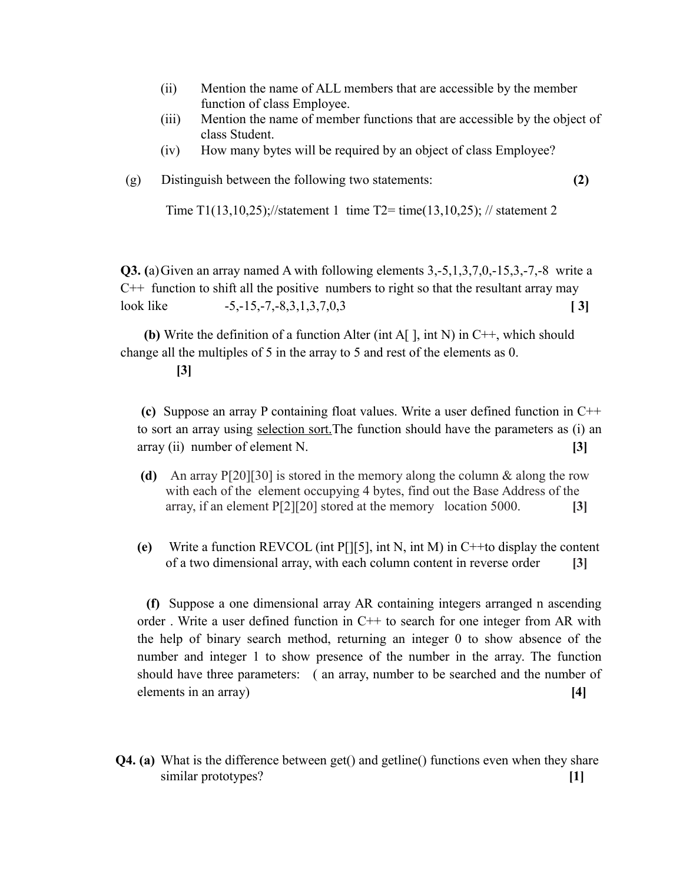- (ii) Mention the name of ALL members that are accessible by the member function of class Employee.
- (iii) Mention the name of member functions that are accessible by the object of class Student.
- (iv) How many bytes will be required by an object of class Employee?

# (g) Distinguish between the following two statements: **(2)**

Time T1(13,10,25);//statement 1 time T2= time(13,10,25); // statement 2

**Q3. (**a)Given an array named A with following elements 3,-5,1,3,7,0,-15,3,-7,-8 write a  $C_{++}$  function to shift all the positive numbers to right so that the resultant array may look like  $-5, -15, -7, -8, 3, 1, 3, 7, 0, 3$  [ 3]

 **(b)** Write the definition of a function Alter (int A[ ], int N) in C++, which should change all the multiples of 5 in the array to 5 and rest of the elements as 0.

# **[3]**

 **(c)** Suppose an array P containing float values. Write a user defined function in C++ to sort an array using selection sort.The function should have the parameters as (i) an array (ii) number of element N. **[3]**

- **(d)** An array P[20][30] is stored in the memory along the column & along the row with each of the element occupying 4 bytes, find out the Base Address of the array, if an element P[2][20] stored at the memory location 5000. **[3]**
- **(e)** Write a function REVCOL (int P[][5], int N, int M) in C++to display the content of a two dimensional array, with each column content in reverse order **[3]**

 **(f)** Suppose a one dimensional array AR containing integers arranged n ascending order . Write a user defined function in C++ to search for one integer from AR with the help of binary search method, returning an integer 0 to show absence of the number and integer 1 to show presence of the number in the array. The function should have three parameters: ( an array, number to be searched and the number of elements in an array) **[4]** 

**Q4. (a)** What is the difference between get() and getline() functions even when they share similar prototypes? **[1]**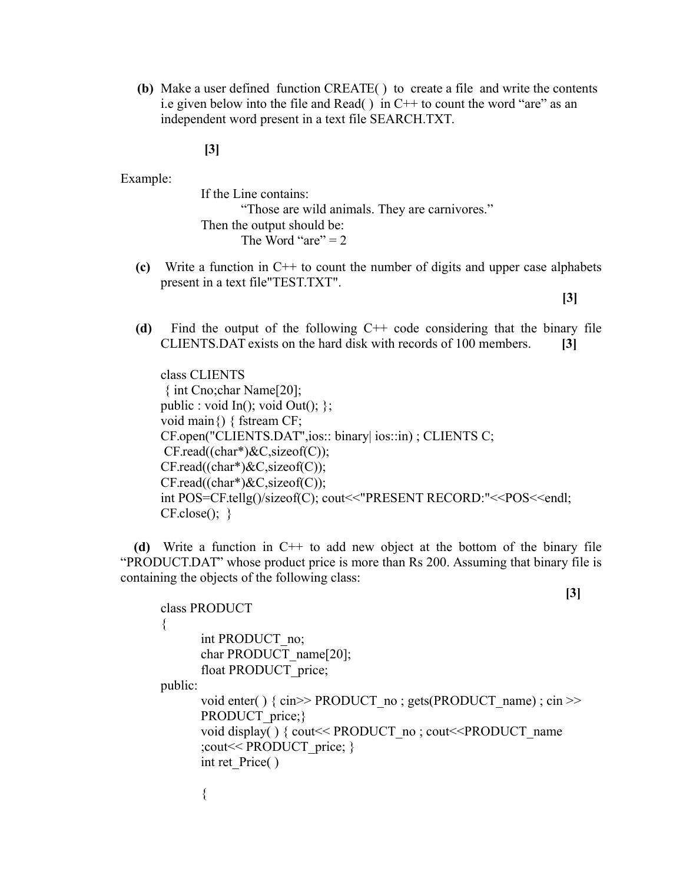**(b)** Make a user defined function CREATE( ) to create a file and write the contents i.e given below into the file and Read( $\cdot$ ) in C++ to count the word "are" as an independent word present in a text file SEARCH.TXT.

**[3]**

Example:

{

If the Line contains: "Those are wild animals. They are carnivores." Then the output should be: The Word "are"  $= 2$ 

**(c)** Write a function in C++ to count the number of digits and upper case alphabets present in a text file"TEST.TXT".

 **[3]**

**[3]**

**(d)** Find the output of the following C++ code considering that the binary file CLIENTS.DAT exists on the hard disk with records of 100 members. **[3]**

class CLIENTS { int Cno;char Name[20]; public : void In(); void Out();  $\}$ ; void main{) { fstream CF; CF.open("CLIENTS.DAT",ios:: binary| ios::in) ; CLIENTS C;  $CF.read((char*)\&C, sizeof(C));$  $CF.read((char*)\&C, sizeof(C));$  $CF.read((char*)\&C, sizeof(C));$ int POS=CF.tellg()/sizeof(C); cout<<"PRESENT RECORD:"<<POS<<endl;  $CF.close()$ ; }

**(d)** Write a function in C++ to add new object at the bottom of the binary file "PRODUCT.DAT" whose product price is more than Rs 200. Assuming that binary file is containing the objects of the following class:

```
class PRODUCT
      int PRODUCT_no;
      char PRODUCT_name[20];
      float PRODUCT price;
public:
      void enter() \{ \text{cin} \geq \text{PRODUCT no} \}; gets(PRODUCT_name) ; cin \geqPRODUCT price;}
      void display() { cout << PRODUCT_no ; cout << PRODUCT_name
      ;cout<< PRODUCT_price; }
      int ret Price( )
       {
```